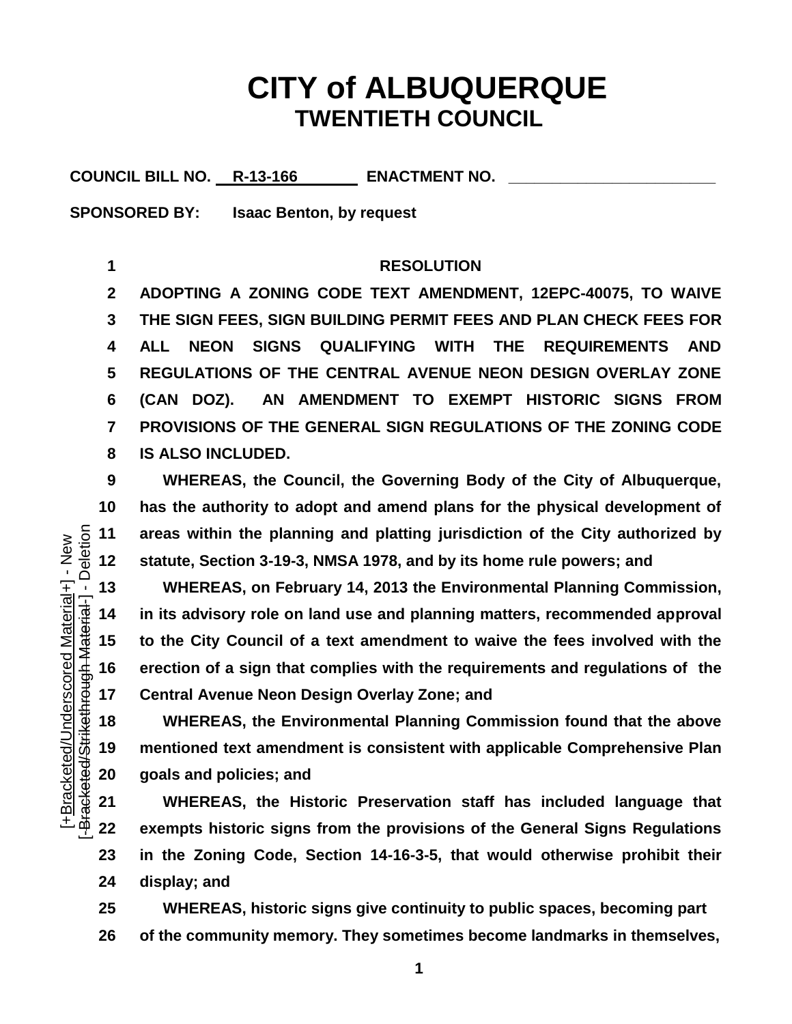## **CITY of ALBUQUERQUE TWENTIETH COUNCIL**

COUNCIL BILL NO. R-13-166 ENACTMENT NO.

**SPONSORED BY: Isaac Benton, by request**

## **RESOLUTION**

 **ADOPTING A ZONING CODE TEXT AMENDMENT, 12EPC-40075, TO WAIVE THE SIGN FEES, SIGN BUILDING PERMIT FEES AND PLAN CHECK FEES FOR ALL NEON SIGNS QUALIFYING WITH THE REQUIREMENTS AND REGULATIONS OF THE CENTRAL AVENUE NEON DESIGN OVERLAY ZONE (CAN DOZ). AN AMENDMENT TO EXEMPT HISTORIC SIGNS FROM PROVISIONS OF THE GENERAL SIGN REGULATIONS OF THE ZONING CODE IS ALSO INCLUDED.**

 **WHEREAS, the Council, the Governing Body of the City of Albuquerque, has the authority to adopt and amend plans for the physical development of areas within the planning and platting jurisdiction of the City authorized by statute, Section 3-19-3, NMSA 1978, and by its home rule powers; and**

 **WHEREAS, on February 14, 2013 the Environmental Planning Commission, in its advisory role on land use and planning matters, recommended approval to the City Council of a text amendment to waive the fees involved with the erection of a sign that complies with the requirements and regulations of the Central Avenue Neon Design Overlay Zone; and**

 **WHEREAS, the Environmental Planning Commission found that the above mentioned text amendment is consistent with applicable Comprehensive Plan goals and policies; and**

 **WHEREAS, the Historic Preservation staff has included language that exempts historic signs from the provisions of the General Signs Regulations in the Zoning Code, Section 14-16-3-5, that would otherwise prohibit their display; and**

 **WHEREAS, historic signs give continuity to public spaces, becoming part of the community memory. They sometimes become landmarks in themselves,**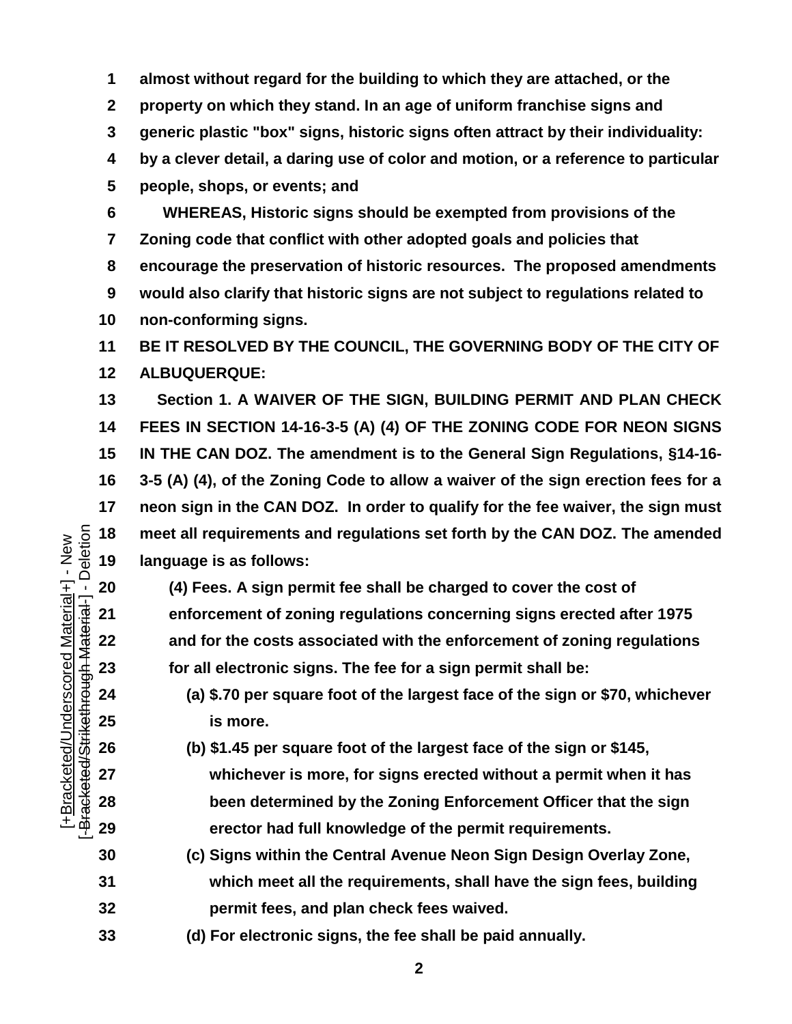**almost without regard for the building to which they are attached, or the property on which they stand. In an age of uniform franchise signs and generic plastic "box" signs, historic signs often attract by their individuality: by a clever detail, a daring use of color and motion, or a reference to particular people, shops, or events; and**

 **WHEREAS, Historic signs should be exempted from provisions of the Zoning code that conflict with other adopted goals and policies that encourage the preservation of historic resources. The proposed amendments would also clarify that historic signs are not subject to regulations related to non-conforming signs.**

 **BE IT RESOLVED BY THE COUNCIL, THE GOVERNING BODY OF THE CITY OF ALBUQUERQUE:**

**13 Section 1. A WAIVER OF THE SIGN, BUILDING PERMIT AND PLAN CHECK FEES IN SECTION 14-16-3-5 (A) (4) OF THE ZONING CODE FOR NEON SIGNS IN THE CAN DOZ. The amendment is to the General Sign Regulations, §14-16- 3-5 (A) (4), of the Zoning Code to allow a waiver of the sign erection fees for a neon sign in the CAN DOZ. In order to qualify for the fee waiver, the sign must language is as follows:**

 meet all requirements and regulations set forth by the CAN DOZ. The amended  $\frac{3}{2}$  day of any larguage is as follows:<br> **19** day day Frees. A sign permit fee shall be charged to cover the cost of enforcement of zon **(4) Fees. A sign permit fee shall be charged to cover the cost of enforcement of zoning regulations concerning signs erected after 1975 and for the costs associated with the enforcement of zoning regulations for all electronic signs. The fee for a sign permit shall be:**

 **(a) \$.70 per square foot of the largest face of the sign or \$70, whichever is more.**

 **(b) \$1.45 per square foot of the largest face of the sign or \$145, whichever is more, for signs erected without a permit when it has been determined by the Zoning Enforcement Officer that the sign erector had full knowledge of the permit requirements.**

- **30 (c) Signs within the Central Avenue Neon Sign Design Overlay Zone, which meet all the requirements, shall have the sign fees, building permit fees, and plan check fees waived.**
- **(d) For electronic signs, the fee shall be paid annually.**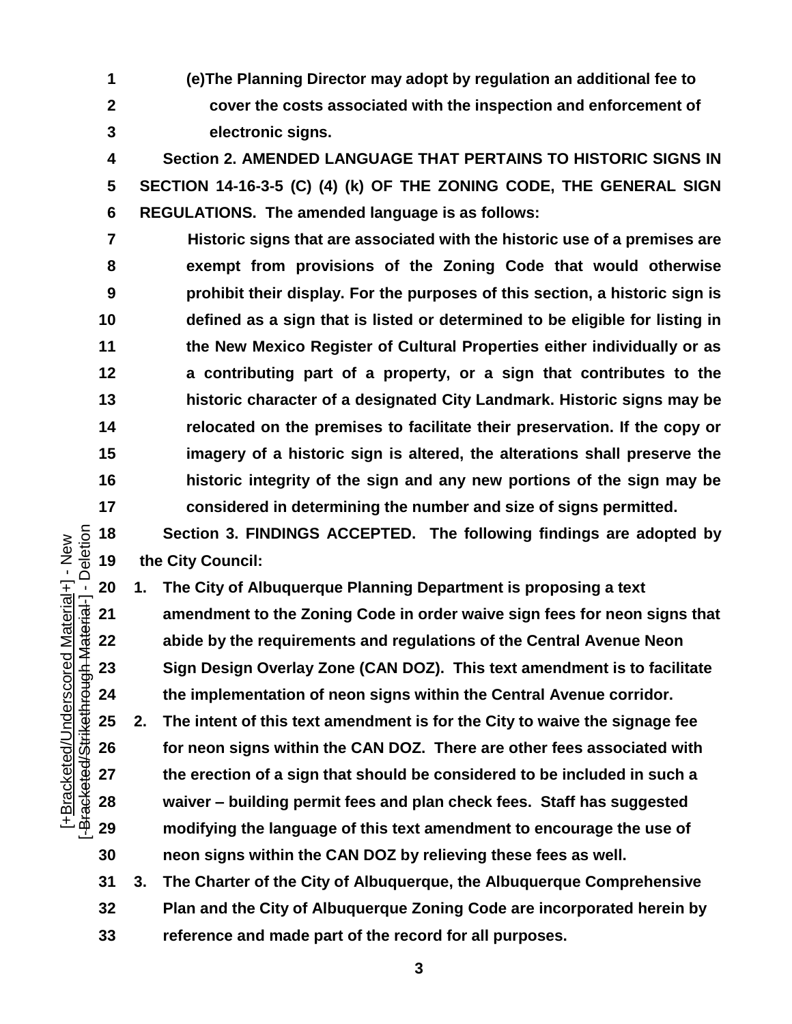**(e)The Planning Director may adopt by regulation an additional fee to cover the costs associated with the inspection and enforcement of electronic signs.**

 **Section 2. AMENDED LANGUAGE THAT PERTAINS TO HISTORIC SIGNS IN SECTION 14-16-3-5 (C) (4) (k) OF THE ZONING CODE, THE GENERAL SIGN REGULATIONS. The amended language is as follows:**

**7 Historic signs that are associated with the historic use of a premises are exempt from provisions of the Zoning Code that would otherwise prohibit their display. For the purposes of this section, a historic sign is defined as a sign that is listed or determined to be eligible for listing in the New Mexico Register of Cultural Properties either individually or as a contributing part of a property, or a sign that contributes to the historic character of a designated City Landmark. Historic signs may be relocated on the premises to facilitate their preservation. If the copy or imagery of a historic sign is altered, the alterations shall preserve the historic integrity of the sign and any new portions of the sign may be considered in determining the number and size of signs permitted.**

 **Section 3. FINDINGS ACCEPTED. The following findings are adopted by the City Council:**

**1. The City of Albuquerque Planning Department is proposing a text** 

 **amendment to the Zoning Code in order waive sign fees for neon signs that abide by the requirements and regulations of the Central Avenue Neon Sign Design Overlay Zone (CAN DOZ). This text amendment is to facilitate the implementation of neon signs within the Central Avenue corridor.** 

 **2. The intent of this text amendment is for the City to waive the signage fee for neon signs within the CAN DOZ. There are other fees associated with the erection of a sign that should be considered to be included in such a waiver – building permit fees and plan check fees. Staff has suggested modifying the language of this text amendment to encourage the use of neon signs within the CAN DOZ by relieving these fees as well.**

 **3. The Charter of the City of Albuquerque, the Albuquerque Comprehensive Plan and the City of Albuquerque Zoning Code are incorporated herein by reference and made part of the record for all purposes.** 

Deletion [-Bracketed/Strikethrough Material-] - Deletion [+Bracketed/Underscored Material+] - New<br>-Bracketed/Strikethrough Material-] - Deletio [+Bracketed/Underscored Material+] - New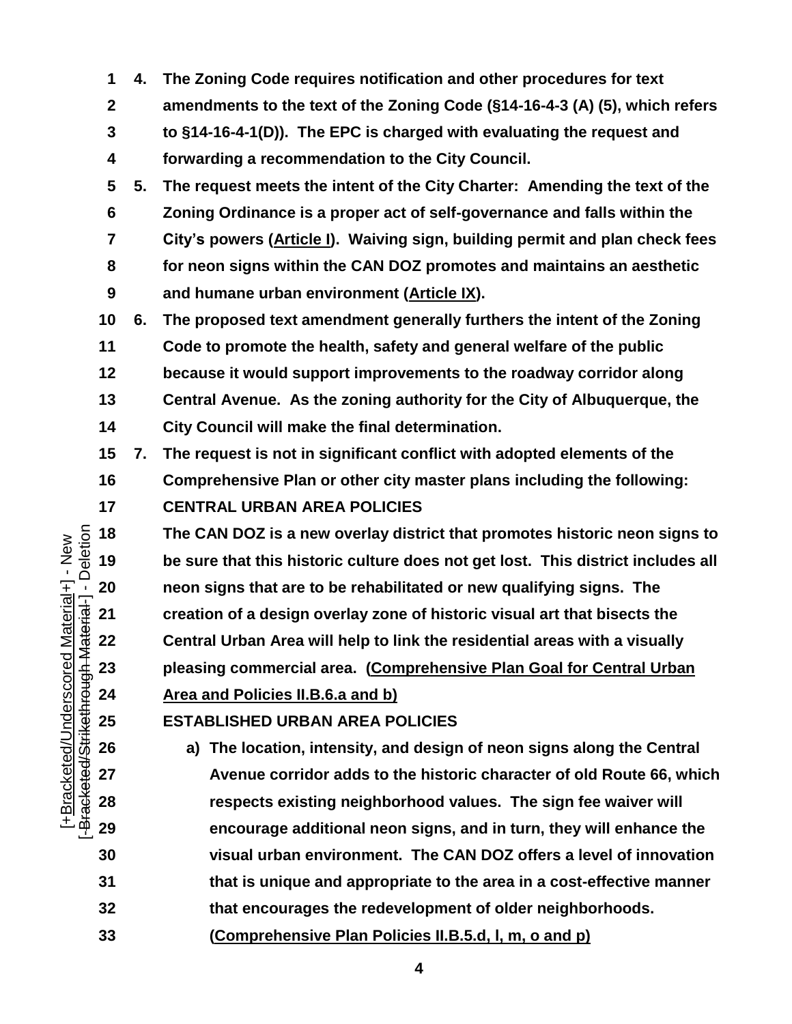- **4. The Zoning Code requires notification and other procedures for text amendments to the text of the Zoning Code (§14-16-4-3 (A) (5), which refers to §14-16-4-1(D)). The EPC is charged with evaluating the request and forwarding a recommendation to the City Council.**
- **5. The request meets the intent of the City Charter: Amending the text of the Zoning Ordinance is a proper act of self-governance and falls within the City's powers (Article I). Waiving sign, building permit and plan check fees for neon signs within the CAN DOZ promotes and maintains an aesthetic and humane urban environment (Article IX).**
- **6. The proposed text amendment generally furthers the intent of the Zoning**
- **Code to promote the health, safety and general welfare of the public**
- **because it would support improvements to the roadway corridor along**
- **Central Avenue. As the zoning authority for the City of Albuquerque, the**
- **City Council will make the final determination.**
- **7. The request is not in significant conflict with adopted elements of the**
- **Comprehensive Plan or other city master plans including the following:**
- **CENTRAL URBAN AREA POLICIES**

 **The CAN DOZ is a new overlay district that promotes historic neon signs to be sure that this historic culture does not get lost. This district includes all neon signs that are to be rehabilitated or new qualifying s be sure that this historic culture does not get lost. This district includes all neon signs that are to be rehabilitated or new qualifying signs. The creation of a design overlay zone of historic visual art that bisects the Central Urban Area will help to link the residential areas with a visually pleasing commercial area.****(Comprehensive Plan Goal for Central Urban Area and Policies II.B.6.a and b)**

## **ESTABLISHED URBAN AREA POLICIES**

- **a) The location, intensity, and design of neon signs along the Central Avenue corridor adds to the historic character of old Route 66, which respects existing neighborhood values. The sign fee waiver will encourage additional neon signs, and in turn, they will enhance the visual urban environment. The CAN DOZ offers a level of innovation that is unique and appropriate to the area in a cost-effective manner that encourages the redevelopment of older neighborhoods.**
- **(Comprehensive Plan Policies II.B.5.d, l, m, o and p)**

Deletion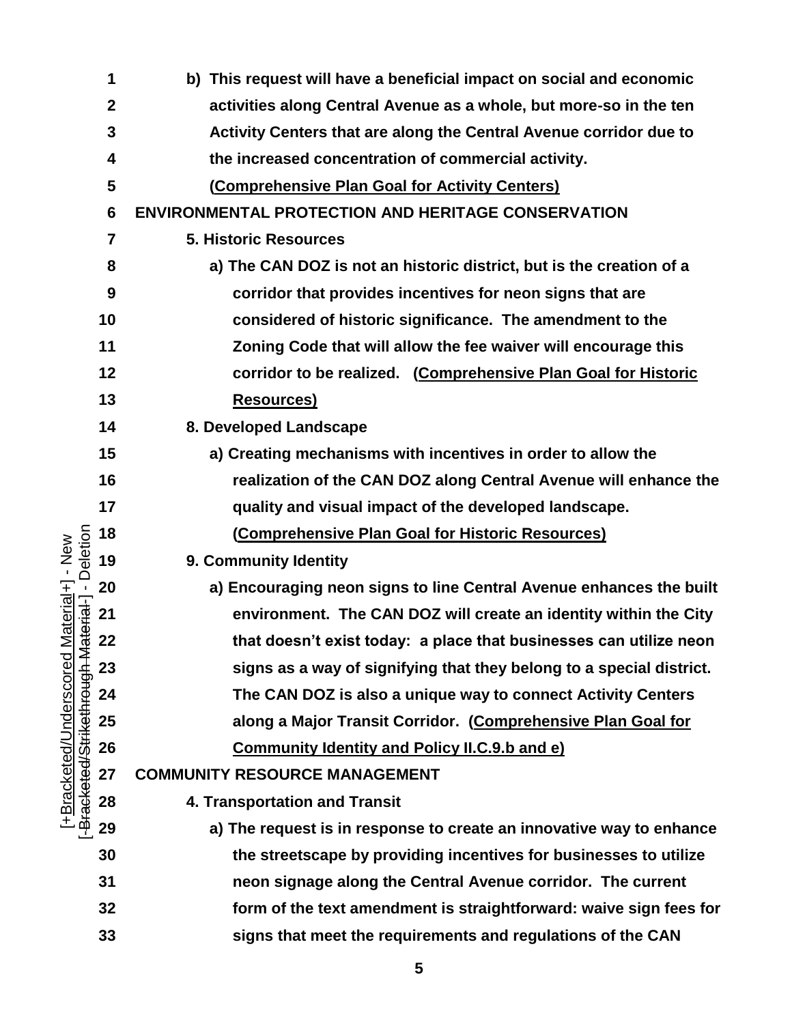|                                                                  | 1                | b) This request will have a beneficial impact on social and economic |
|------------------------------------------------------------------|------------------|----------------------------------------------------------------------|
|                                                                  | $\boldsymbol{2}$ | activities along Central Avenue as a whole, but more-so in the ten   |
|                                                                  | 3                | Activity Centers that are along the Central Avenue corridor due to   |
|                                                                  | 4                | the increased concentration of commercial activity.                  |
|                                                                  | 5                | (Comprehensive Plan Goal for Activity Centers)                       |
|                                                                  | 6                | <b>ENVIRONMENTAL PROTECTION AND HERITAGE CONSERVATION</b>            |
|                                                                  | $\overline{7}$   | <b>5. Historic Resources</b>                                         |
|                                                                  | 8                | a) The CAN DOZ is not an historic district, but is the creation of a |
|                                                                  | 9                | corridor that provides incentives for neon signs that are            |
|                                                                  | 10               | considered of historic significance. The amendment to the            |
|                                                                  | 11               | Zoning Code that will allow the fee waiver will encourage this       |
|                                                                  | 12               | corridor to be realized. (Comprehensive Plan Goal for Historic       |
|                                                                  | 13               | <b>Resources)</b>                                                    |
|                                                                  | 14               | 8. Developed Landscape                                               |
|                                                                  | 15               | a) Creating mechanisms with incentives in order to allow the         |
|                                                                  | 16               | realization of the CAN DOZ along Central Avenue will enhance the     |
|                                                                  | 17               | quality and visual impact of the developed landscape.                |
|                                                                  | 18               | (Comprehensive Plan Goal for Historic Resources)                     |
| - Deletion<br>Material+] - New                                   | 19               | 9. Community Identity                                                |
|                                                                  | 20               | a) Encouraging neon signs to line Central Avenue enhances the built  |
| laterial-]                                                       | 21               | environment. The CAN DOZ will create an identity within the City     |
|                                                                  | 22               | that doesn't exist today: a place that businesses can utilize neon   |
| -Bracketed/Underscored<br>-B <del>racketed/Strikethrough M</del> | 23               | signs as a way of signifying that they belong to a special district. |
|                                                                  | 24               | The CAN DOZ is also a unique way to connect Activity Centers         |
|                                                                  | 25               | along a Major Transit Corridor. (Comprehensive Plan Goal for         |
|                                                                  | 26               | <b>Community Identity and Policy II.C.9.b and e)</b>                 |
|                                                                  | 27               | <b>COMMUNITY RESOURCE MANAGEMENT</b>                                 |
|                                                                  | 28               | 4. Transportation and Transit                                        |
|                                                                  | 29               | a) The request is in response to create an innovative way to enhance |
|                                                                  | 30               | the streetscape by providing incentives for businesses to utilize    |
|                                                                  | 31               | neon signage along the Central Avenue corridor. The current          |
|                                                                  | 32               | form of the text amendment is straightforward: waive sign fees for   |
|                                                                  | 33               | signs that meet the requirements and regulations of the CAN          |
|                                                                  |                  |                                                                      |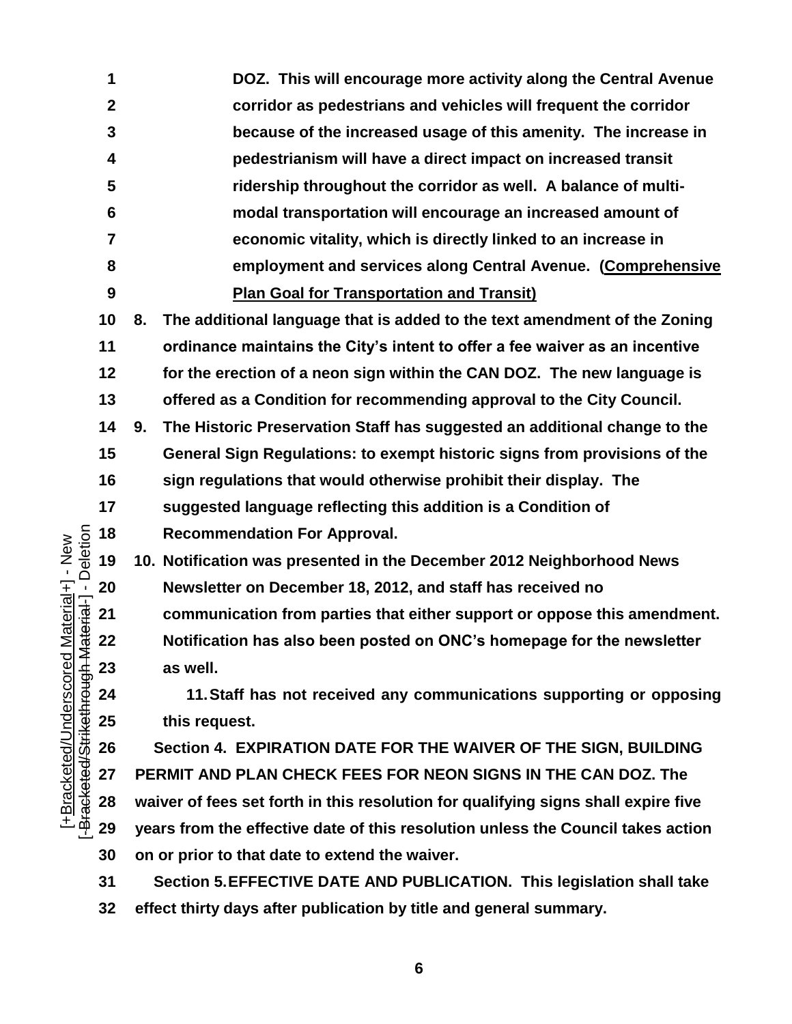**DOZ. This will encourage more activity along the Central Avenue corridor as pedestrians and vehicles will frequent the corridor because of the increased usage of this amenity. The increase in pedestrianism will have a direct impact on increased transit ridership throughout the corridor as well. A balance of multi- modal transportation will encourage an increased amount of economic vitality, which is directly linked to an increase in employment and services along Central Avenue. (Comprehensive Plan Goal for Transportation and Transit) 8. The additional language that is added to the text amendment of the Zoning ordinance maintains the City's intent to offer a fee waiver as an incentive for the erection of a neon sign within the CAN DOZ. The new language is offered as a Condition for recommending approval to the City Council. 9. The Historic Preservation Staff has suggested an additional change to the General Sign Regulations: to exempt historic signs from provisions of the sign regulations that would otherwise prohibit their display. The suggested language reflecting this addition is a Condition of**  Deletion [-Bracketed/Strikethrough Material-] - Deletion **Recommendation For Approval. 10. Notification was presented in the December 2012 Neighborhood News Newsletter on December 18, 2012, and staff has received no communication from parties that either support or oppose the 22 Notification has also been posted on ONC's homepage for the sum as well.<br>
<b>22 ASSEM**<br>
22 **communication from parties that either support or oppose this amendment. Notification has also been posted on ONC's homepage for the newsletter as well. 11.Staff has not received any communications supporting or opposing this request. Section 4. EXPIRATION DATE FOR THE WAIVER OF THE SIGN, BUILDING PERMIT AND PLAN CHECK FEES FOR NEON SIGNS IN THE CAN DOZ. The waiver of fees set forth in this resolution for qualifying signs shall expire five years from the effective date of this resolution unless the Council takes action on or prior to that date to extend the waiver. Section 5.EFFECTIVE DATE AND PUBLICATION. This legislation shall take** 

**effect thirty days after publication by title and general summary.**

[+Bracketed/Underscored Material+] - New

[+Bracketed/Underscored Material+] - New